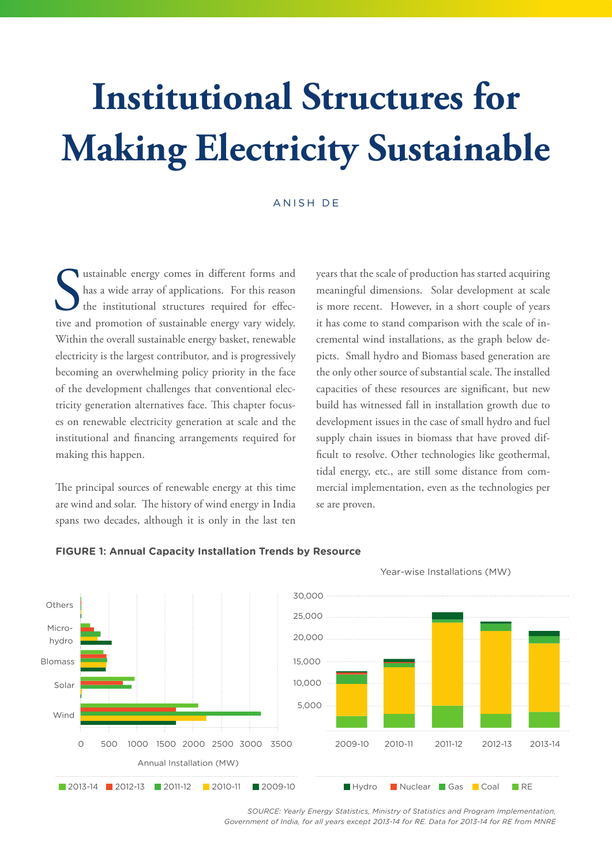# **Institutional Structures for Making Electricity Sustainable**

### ANISH DE

Sustainable energy comes in different forms and has a wide array of applications. For this reason the institutional structures required for effective and promotion of sustainable energy vary widely. ustainable energy comes in different forms and has a wide array of applications. For this reason the institutional structures required for effec-Within the overall sustainable energy basket, renewable electricity is the largest contributor, and is progressively becoming an overwhelming policy priority in the face of the development challenges that conventional electricity generation alternatives face. This chapter focuses on renewable electricity generation at scale and the institutional and financing arrangements required for making this happen.

The principal sources of renewable energy at this time are wind and solar. The history of wind energy in India spans two decades, although it is only in the last ten  years that the scale of production has started acquiring meaningful dimensions. Solar development at scale is more recent. However, in a short couple of years it has come to stand comparison with the scale of incremental wind installations, as the graph below depicts. Small hydro and Biomass based generation are the only other source of substantial scale. The installed capacities of these resources are significant, but new build has witnessed fall in installation growth due to development issues in the case of small hydro and fuel supply chain issues in biomass that have proved difficult to resolve. Other technologies like geothermal, tidal energy, etc., are still some distance from commercial implementation, even as the technologies per se are proven.



**FIGURE 1: Annual Capacity Installation Trends by Resource**

*SOURCE: Yearly Energy Statistics, Ministry of Statistics and Program Implementation, Government of India, for all years except 2013-14 for RE. Data for 2013-14 for RE from MNRE*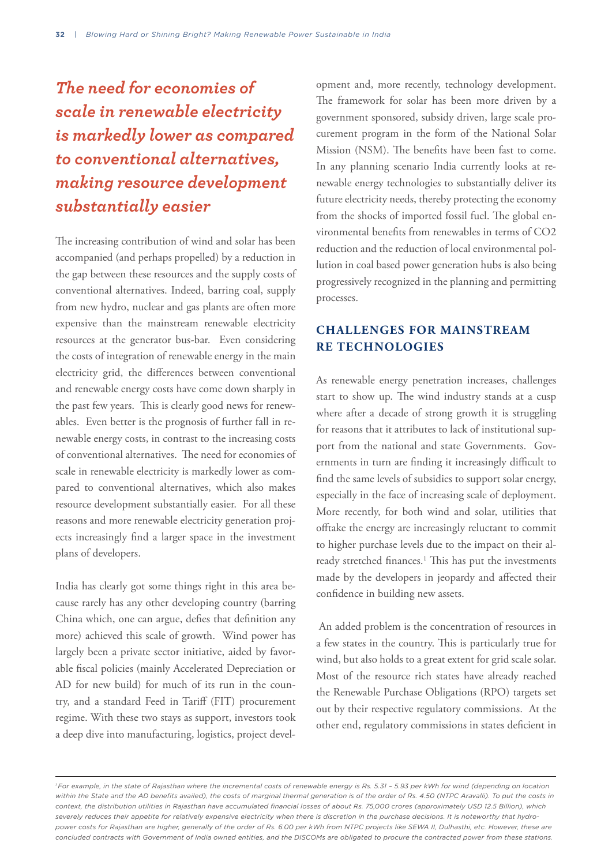## *The need for economies of scale in renewable electricity is markedly lower as compared to conventional alternatives, making resource development substantially easier*

The increasing contribution of wind and solar has been accompanied (and perhaps propelled) by a reduction in the gap between these resources and the supply costs of conventional alternatives. Indeed, barring coal, supply from new hydro, nuclear and gas plants are often more expensive than the mainstream renewable electricity resources at the generator bus-bar. Even considering the costs of integration of renewable energy in the main electricity grid, the differences between conventional and renewable energy costs have come down sharply in the past few years. This is clearly good news for renewables. Even better is the prognosis of further fall in renewable energy costs, in contrast to the increasing costs of conventional alternatives. The need for economies of scale in renewable electricity is markedly lower as compared to conventional alternatives, which also makes resource development substantially easier. For all these reasons and more renewable electricity generation projects increasingly find a larger space in the investment plans of developers.

India has clearly got some things right in this area because rarely has any other developing country (barring China which, one can argue, defies that definition any more) achieved this scale of growth. Wind power has largely been a private sector initiative, aided by favorable fiscal policies (mainly Accelerated Depreciation or AD for new build) for much of its run in the country, and a standard Feed in Tariff (FIT) procurement regime. With these two stays as support, investors took a deep dive into manufacturing, logistics, project development and, more recently, technology development. The framework for solar has been more driven by a government sponsored, subsidy driven, large scale procurement program in the form of the National Solar Mission (NSM). The benefits have been fast to come. In any planning scenario India currently looks at renewable energy technologies to substantially deliver its future electricity needs, thereby protecting the economy from the shocks of imported fossil fuel. The global environmental benefits from renewables in terms of CO2 reduction and the reduction of local environmental pollution in coal based power generation hubs is also being progressively recognized in the planning and permitting processes.

### **CHALLENGES FOR MAINSTREAM RE TECHNOLOGIES**

As renewable energy penetration increases, challenges start to show up. The wind industry stands at a cusp where after a decade of strong growth it is struggling for reasons that it attributes to lack of institutional support from the national and state Governments. Governments in turn are finding it increasingly difficult to find the same levels of subsidies to support solar energy, especially in the face of increasing scale of deployment. More recently, for both wind and solar, utilities that offtake the energy are increasingly reluctant to commit to higher purchase levels due to the impact on their already stretched finances.<sup>1</sup> This has put the investments made by the developers in jeopardy and affected their confidence in building new assets.

 An added problem is the concentration of resources in a few states in the country. This is particularly true for wind, but also holds to a great extent for grid scale solar. Most of the resource rich states have already reached the Renewable Purchase Obligations (RPO) targets set out by their respective regulatory commissions. At the other end, regulatory commissions in states deficient in

<sup>&</sup>lt;sup>1</sup> For example, in the state of Rajasthan where the incremental costs of renewable energy is Rs. 5.31 - 5.93 per kWh for wind (depending on location within the State and the AD benefits availed), the costs of marginal thermal generation is of the order of Rs. 4.50 (NTPC Aravalli). To put the costs in *context, the distribution utilities in Rajasthan have accumulated financial losses of about Rs. 75,000 crores (approximately USD 12.5 Billion), which severely reduces their appetite for relatively expensive electricity when there is discretion in the purchase decisions. It is noteworthy that hydropower costs for Rajasthan are higher, generally of the order of Rs. 6.00 per kWh from NTPC projects like SEWA II, Dulhasthi, etc. However, these are concluded contracts with Government of India owned entities, and the DISCOMs are obligated to procure the contracted power from these stations.*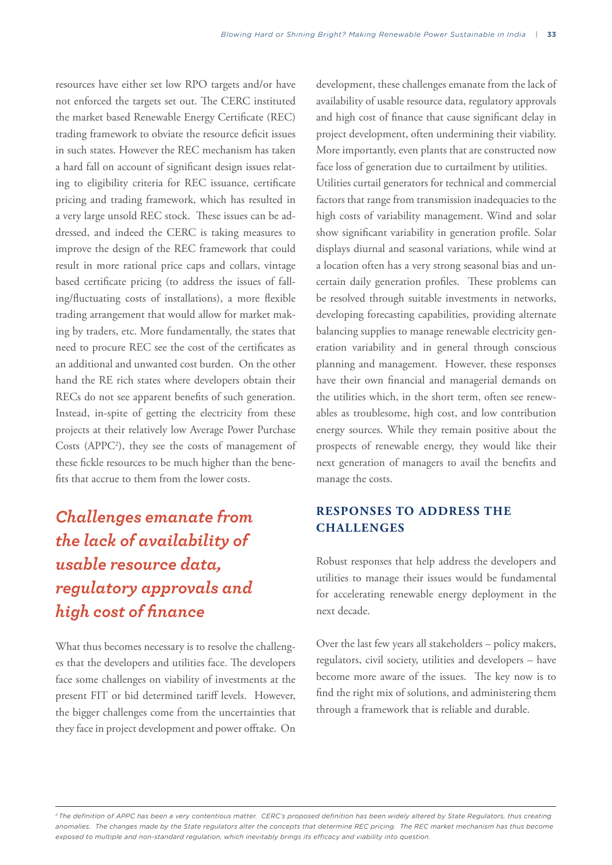resources have either set low RPO targets and/or have not enforced the targets set out. The CERC instituted the market based Renewable Energy Certificate (REC) trading framework to obviate the resource deficit issues in such states. However the REC mechanism has taken a hard fall on account of significant design issues relating to eligibility criteria for REC issuance, certificate pricing and trading framework, which has resulted in a very large unsold REC stock. These issues can be addressed, and indeed the CERC is taking measures to improve the design of the REC framework that could result in more rational price caps and collars, vintage based certificate pricing (to address the issues of falling/fluctuating costs of installations), a more flexible trading arrangement that would allow for market making by traders, etc. More fundamentally, the states that need to procure REC see the cost of the certificates as an additional and unwanted cost burden. On the other hand the RE rich states where developers obtain their RECs do not see apparent benefits of such generation. Instead, in-spite of getting the electricity from these projects at their relatively low Average Power Purchase Costs (APPC2 ), they see the costs of management of these fickle resources to be much higher than the benefits that accrue to them from the lower costs.

## *Challenges emanate from the lack of availability of usable resource data, regulatory approvals and high cost of finance*

What thus becomes necessary is to resolve the challenges that the developers and utilities face. The developers face some challenges on viability of investments at the present FIT or bid determined tariff levels. However, the bigger challenges come from the uncertainties that they face in project development and power offtake. On development, these challenges emanate from the lack of availability of usable resource data, regulatory approvals and high cost of finance that cause significant delay in project development, often undermining their viability. More importantly, even plants that are constructed now face loss of generation due to curtailment by utilities. Utilities curtail generators for technical and commercial factors that range from transmission inadequacies to the high costs of variability management. Wind and solar show significant variability in generation profile. Solar displays diurnal and seasonal variations, while wind at a location often has a very strong seasonal bias and uncertain daily generation profiles. These problems can be resolved through suitable investments in networks, developing forecasting capabilities, providing alternate balancing supplies to manage renewable electricity generation variability and in general through conscious planning and management. However, these responses have their own financial and managerial demands on the utilities which, in the short term, often see renewables as troublesome, high cost, and low contribution energy sources. While they remain positive about the prospects of renewable energy, they would like their next generation of managers to avail the benefits and manage the costs.

### **RESPONSES TO ADDRESS THE CHALLENGES**

Robust responses that help address the developers and utilities to manage their issues would be fundamental for accelerating renewable energy deployment in the next decade.

Over the last few years all stakeholders – policy makers, regulators, civil society, utilities and developers – have become more aware of the issues. The key now is to find the right mix of solutions, and administering them through a framework that is reliable and durable.

*2 The definition of APPC has been a very contentious matter. CERC's proposed definition has been widely altered by State Regulators, thus creating anomalies. The changes made by the State regulators alter the concepts that determine REC pricing. The REC market mechanism has thus become exposed to multiple and non-standard regulation, which inevitably brings its efficacy and viability into question.*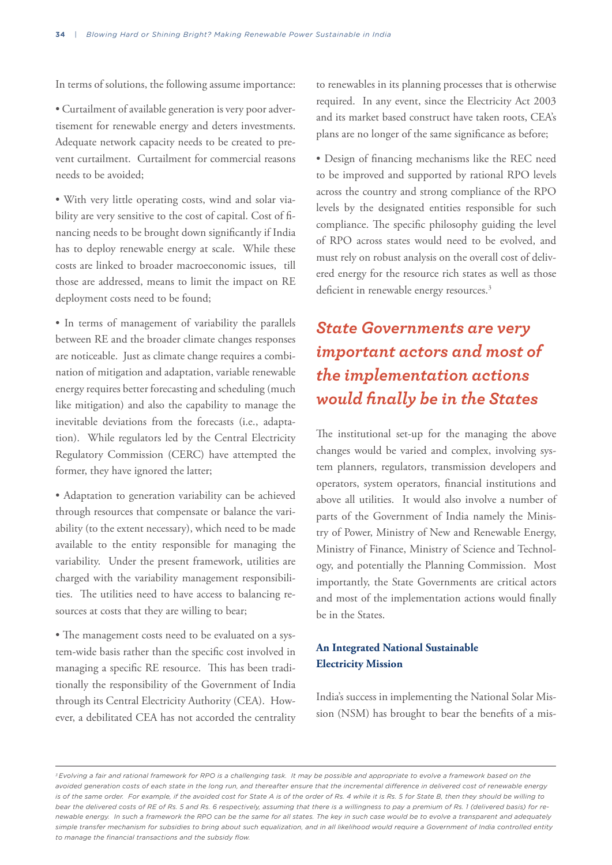In terms of solutions, the following assume importance:

• Curtailment of available generation is very poor advertisement for renewable energy and deters investments. Adequate network capacity needs to be created to prevent curtailment. Curtailment for commercial reasons needs to be avoided;

• With very little operating costs, wind and solar viability are very sensitive to the cost of capital. Cost of financing needs to be brought down significantly if India has to deploy renewable energy at scale. While these costs are linked to broader macroeconomic issues, till those are addressed, means to limit the impact on RE deployment costs need to be found;

• In terms of management of variability the parallels between RE and the broader climate changes responses are noticeable. Just as climate change requires a combination of mitigation and adaptation, variable renewable energy requires better forecasting and scheduling (much like mitigation) and also the capability to manage the inevitable deviations from the forecasts (i.e., adaptation). While regulators led by the Central Electricity Regulatory Commission (CERC) have attempted the former, they have ignored the latter;

• Adaptation to generation variability can be achieved through resources that compensate or balance the variability (to the extent necessary), which need to be made available to the entity responsible for managing the variability. Under the present framework, utilities are charged with the variability management responsibilities. The utilities need to have access to balancing resources at costs that they are willing to bear;

• The management costs need to be evaluated on a system-wide basis rather than the specific cost involved in managing a specific RE resource. This has been traditionally the responsibility of the Government of India through its Central Electricity Authority (CEA). However, a debilitated CEA has not accorded the centrality to renewables in its planning processes that is otherwise required. In any event, since the Electricity Act 2003 and its market based construct have taken roots, CEA's plans are no longer of the same significance as before;

• Design of financing mechanisms like the REC need to be improved and supported by rational RPO levels across the country and strong compliance of the RPO levels by the designated entities responsible for such compliance. The specific philosophy guiding the level of RPO across states would need to be evolved, and must rely on robust analysis on the overall cost of delivered energy for the resource rich states as well as those deficient in renewable energy resources.<sup>3</sup>

### *State Governments are very important actors and most of the implementation actions would finally be in the States*

The institutional set-up for the managing the above changes would be varied and complex, involving system planners, regulators, transmission developers and operators, system operators, financial institutions and above all utilities. It would also involve a number of parts of the Government of India namely the Ministry of Power, Ministry of New and Renewable Energy, Ministry of Finance, Ministry of Science and Technology, and potentially the Planning Commission. Most importantly, the State Governments are critical actors and most of the implementation actions would finally be in the States.

### **An Integrated National Sustainable Electricity Mission**

India's success in implementing the National Solar Mission (NSM) has brought to bear the benefits of a mis-

*<sup>3</sup> Evolving a fair and rational framework for RPO is a challenging task. It may be possible and appropriate to evolve a framework based on the avoided generation costs of each state in the long run, and thereafter ensure that the incremental difference in delivered cost of renewable energy*  is of the same order. For example, if the avoided cost for State A is of the order of Rs. 4 while it is Rs. 5 for State B, then they should be willing to *bear the delivered costs of RE of Rs. 5 and Rs. 6 respectively, assuming that there is a willingness to pay a premium of Rs. 1 (delivered basis) for renewable energy. In such a framework the RPO can be the same for all states. The key in such case would be to evolve a transparent and adequately simple transfer mechanism for subsidies to bring about such equalization, and in all likelihood would require a Government of India controlled entity to manage the financial transactions and the subsidy flow.*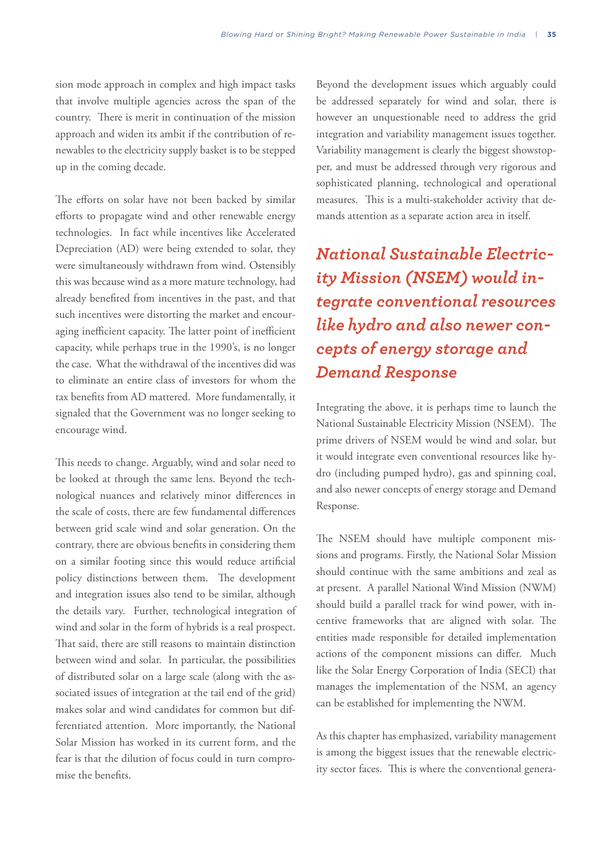sion mode approach in complex and high impact tasks that involve multiple agencies across the span of the country. There is merit in continuation of the mission approach and widen its ambit if the contribution of renewables to the electricity supply basket is to be stepped up in the coming decade.

The efforts on solar have not been backed by similar efforts to propagate wind and other renewable energy technologies. In fact while incentives like Accelerated Depreciation (AD) were being extended to solar, they were simultaneously withdrawn from wind. Ostensibly this was because wind as a more mature technology, had already benefited from incentives in the past, and that such incentives were distorting the market and encouraging inefficient capacity. The latter point of inefficient capacity, while perhaps true in the 1990's, is no longer the case. What the withdrawal of the incentives did was to eliminate an entire class of investors for whom the tax benefits from AD mattered. More fundamentally, it signaled that the Government was no longer seeking to encourage wind.

This needs to change. Arguably, wind and solar need to be looked at through the same lens. Beyond the technological nuances and relatively minor differences in the scale of costs, there are few fundamental differences between grid scale wind and solar generation. On the contrary, there are obvious benefits in considering them on a similar footing since this would reduce artificial policy distinctions between them. The development and integration issues also tend to be similar, although the details vary. Further, technological integration of wind and solar in the form of hybrids is a real prospect. That said, there are still reasons to maintain distinction between wind and solar. In particular, the possibilities of distributed solar on a large scale (along with the associated issues of integration at the tail end of the grid) makes solar and wind candidates for common but differentiated attention. More importantly, the National Solar Mission has worked in its current form, and the fear is that the dilution of focus could in turn compromise the benefits.

Beyond the development issues which arguably could be addressed separately for wind and solar, there is however an unquestionable need to address the grid integration and variability management issues together. Variability management is clearly the biggest showstopper, and must be addressed through very rigorous and sophisticated planning, technological and operational measures. This is a multi-stakeholder activity that demands attention as a separate action area in itself.

*National Sustainable Electricity Mission (NSEM) would integrate conventional resources like hydro and also newer concepts of energy storage and Demand Response*

Integrating the above, it is perhaps time to launch the National Sustainable Electricity Mission (NSEM). The prime drivers of NSEM would be wind and solar, but it would integrate even conventional resources like hydro (including pumped hydro), gas and spinning coal, and also newer concepts of energy storage and Demand Response.

The NSEM should have multiple component missions and programs. Firstly, the National Solar Mission should continue with the same ambitions and zeal as at present. A parallel National Wind Mission (NWM) should build a parallel track for wind power, with incentive frameworks that are aligned with solar. The entities made responsible for detailed implementation actions of the component missions can differ. Much like the Solar Energy Corporation of India (SECI) that manages the implementation of the NSM, an agency can be established for implementing the NWM.

As this chapter has emphasized, variability management is among the biggest issues that the renewable electricity sector faces. This is where the conventional genera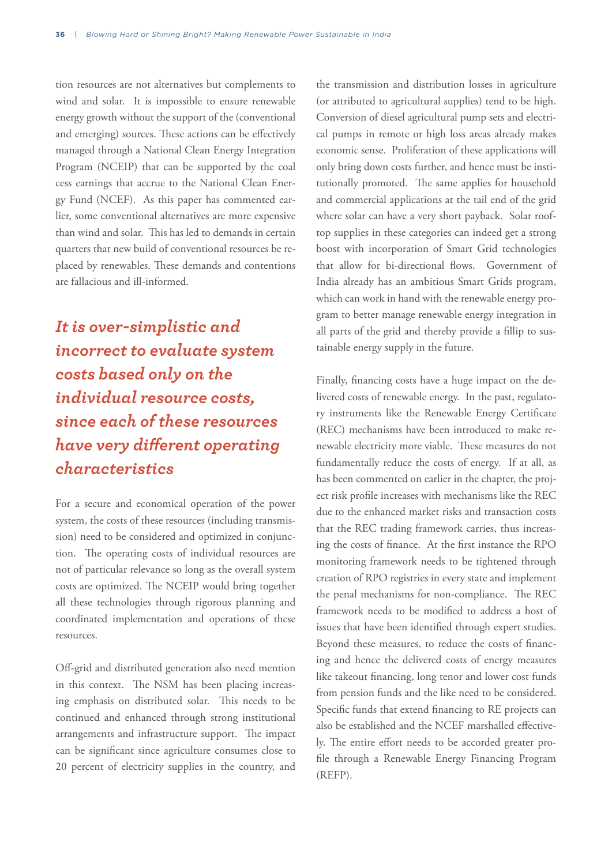tion resources are not alternatives but complements to wind and solar. It is impossible to ensure renewable energy growth without the support of the (conventional and emerging) sources. These actions can be effectively managed through a National Clean Energy Integration Program (NCEIP) that can be supported by the coal cess earnings that accrue to the National Clean Energy Fund (NCEF). As this paper has commented earlier, some conventional alternatives are more expensive than wind and solar. This has led to demands in certain quarters that new build of conventional resources be replaced by renewables. These demands and contentions are fallacious and ill-informed.

*It is over-simplistic and incorrect to evaluate system costs based only on the individual resource costs, since each of these resources have very different operating characteristics*

For a secure and economical operation of the power system, the costs of these resources (including transmission) need to be considered and optimized in conjunction. The operating costs of individual resources are not of particular relevance so long as the overall system costs are optimized. The NCEIP would bring together all these technologies through rigorous planning and coordinated implementation and operations of these resources.

Off-grid and distributed generation also need mention in this context. The NSM has been placing increasing emphasis on distributed solar. This needs to be continued and enhanced through strong institutional arrangements and infrastructure support. The impact can be significant since agriculture consumes close to 20 percent of electricity supplies in the country, and

the transmission and distribution losses in agriculture (or attributed to agricultural supplies) tend to be high. Conversion of diesel agricultural pump sets and electrical pumps in remote or high loss areas already makes economic sense. Proliferation of these applications will only bring down costs further, and hence must be institutionally promoted. The same applies for household and commercial applications at the tail end of the grid where solar can have a very short payback. Solar rooftop supplies in these categories can indeed get a strong boost with incorporation of Smart Grid technologies that allow for bi-directional flows. Government of India already has an ambitious Smart Grids program, which can work in hand with the renewable energy program to better manage renewable energy integration in all parts of the grid and thereby provide a fillip to sustainable energy supply in the future.

Finally, financing costs have a huge impact on the delivered costs of renewable energy. In the past, regulatory instruments like the Renewable Energy Certificate (REC) mechanisms have been introduced to make renewable electricity more viable. These measures do not fundamentally reduce the costs of energy. If at all, as has been commented on earlier in the chapter, the project risk profile increases with mechanisms like the REC due to the enhanced market risks and transaction costs that the REC trading framework carries, thus increasing the costs of finance. At the first instance the RPO monitoring framework needs to be tightened through creation of RPO registries in every state and implement the penal mechanisms for non-compliance. The REC framework needs to be modified to address a host of issues that have been identified through expert studies. Beyond these measures, to reduce the costs of financing and hence the delivered costs of energy measures like takeout financing, long tenor and lower cost funds from pension funds and the like need to be considered. Specific funds that extend financing to RE projects can also be established and the NCEF marshalled effectively. The entire effort needs to be accorded greater profile through a Renewable Energy Financing Program (REFP).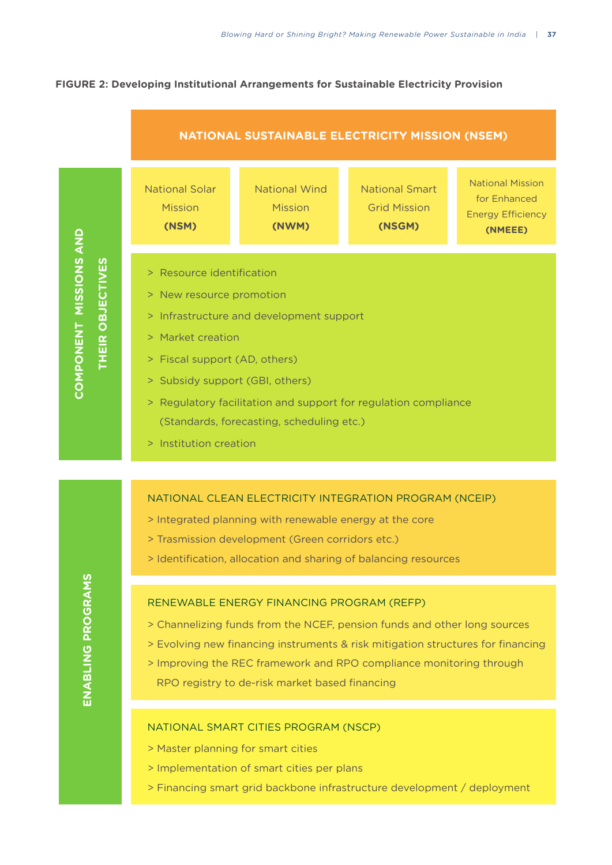### **FIGURE 2: Developing Institutional Arrangements for Sustainable Electricity Provision**



- > Master planning for smart cities
- > Implementation of smart cities per plans
- > Financing smart grid backbone infrastructure development / deployment